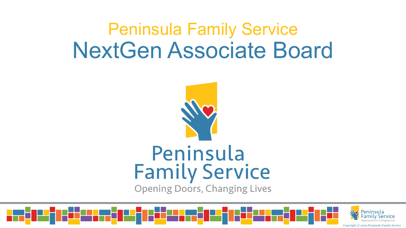## Peninsula Family Service NextGen Associate Board



### Peninsula **Family Service**

**Opening Doors, Changing Lives** 

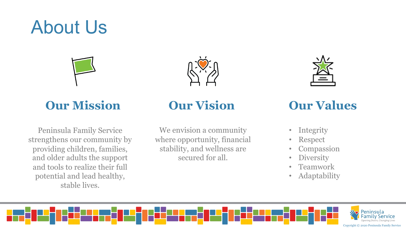### About Us



### **Our Mission Our Vision Our Values**

Peninsula Family Service strengthens our community by providing children, families, and older adults the support and tools to realize their full potential and lead healthy, stable lives.

We envision a community where opportunity, financial stability, and wellness are secured for all.



- Integrity
- Respect
- Compassion
- Diversity
- Teamwork
- Adaptability

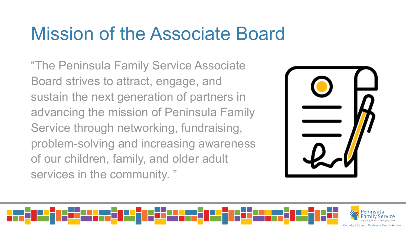### Mission of the Associate Board

"The Peninsula Family Service Associate Board strives to attract, engage, and sustain the next generation of partners in advancing the mission of Peninsula Family Service through networking, fundraising, problem-solving and increasing awareness of our children, family, and older adult services in the community. "



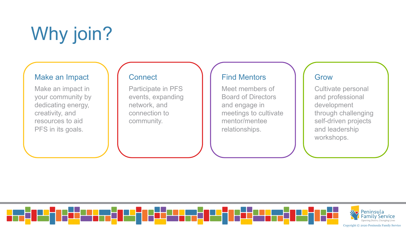# Why join?

#### Make an Impact

Make an impact in your community by dedicating energy, creativity, and resources to aid PFS in its goals.

### **Connect**

Participate in PFS events, expanding network, and connection to community.

### Find Mentors

Meet members of Board of Directors and engage in meetings to cultivate mentor/mentee relationships.

### Grow

Cultivate personal and professional development through challenging self-driven projects and leadership workshops.

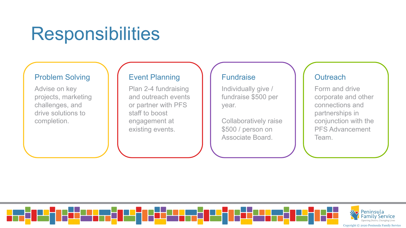### Responsibilities

#### Problem Solving

Advise on key projects, marketing challenges, and drive solutions to completion.

### Event Planning

Plan 2-4 fundraising and outreach events or partner with PFS staff to boost engagement at existing events.

#### Fundraise

Individually give / fundraise \$500 per year.

Collaboratively raise \$500 / person on Associate Board.

### **Outreach**

Form and drive corporate and other connections and partnerships in conjunction with the PFS Advancement Team.

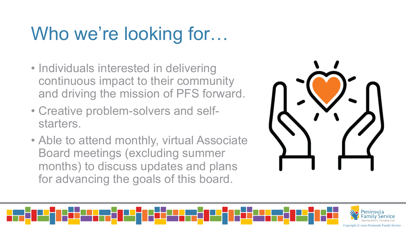## Who we're looking for...

- Individuals interested in delivering continuous impact to their community and driving the mission of PFS forward.
- Creative problem-solvers and selfstarters.
- Able to attend monthly, virtual Associate Board meetings (excluding summer months) to discuss updates and plans for advancing the goals of this board.